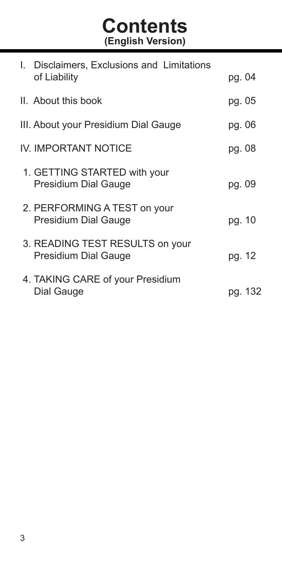# **Contents (English Version)**

| I. Disclaimers, Exclusions and Limitations              |         |
|---------------------------------------------------------|---------|
| of Liability                                            | pg. 04  |
| II. About this book                                     | pg. 05  |
| III. About your Presidium Dial Gauge                    | pg. 06  |
| IV. IMPORTANT NOTICE                                    | pg. 08  |
| 1. GETTING STARTED with your<br>Presidium Dial Gauge    | pg. 09  |
| 2. PERFORMING A TEST on your<br>Presidium Dial Gauge    | pg. 10  |
| 3. READING TEST RESULTS on your<br>Presidium Dial Gauge | pg. 12  |
| 4. TAKING CARE of your Presidium<br>Dial Gauge          | pg. 132 |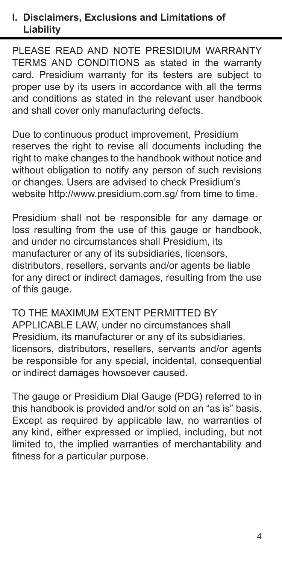#### **I. Disclaimers, Exclusions and Limitations of Liability**

PLEASE READ AND NOTE PRESIDIUM WARRANTY TERMS AND CONDITIONS as stated in the warranty card. Presidium warranty for its testers are subject to proper use by its users in accordance with all the terms and conditions as stated in the relevant user handbook and shall cover only manufacturing defects.

Due to continuous product improvement, Presidium reserves the right to revise all documents including the right to make changes to the handbook without notice and without obligation to notify any person of such revisions or changes. Users are advised to check Presidium's website http://www.presidium.com.sg/ from time to time.

Presidium shall not be responsible for any damage or loss resulting from the use of this gauge or handbook. and under no circumstances shall Presidium, its manufacturer or any of its subsidiaries, licensors, distributors, resellers, servants and/or agents be liable for any direct or indirect damages, resulting from the use of this gauge.

TO THE MAXIMUM EXTENT PERMITTED BY APPLICABLE LAW, under no circumstances shall Presidium, its manufacturer or any of its subsidiaries, licensors, distributors, resellers, servants and/or agents be responsible for any special, incidental, consequential or indirect damages howsoever caused.

The gauge or Presidium Dial Gauge (PDG) referred to in this handbook is provided and/or sold on an "as is" basis. Except as required by applicable law, no warranties of any kind, either expressed or implied, including, but not limited to, the implied warranties of merchantability and fitness for a particular purpose.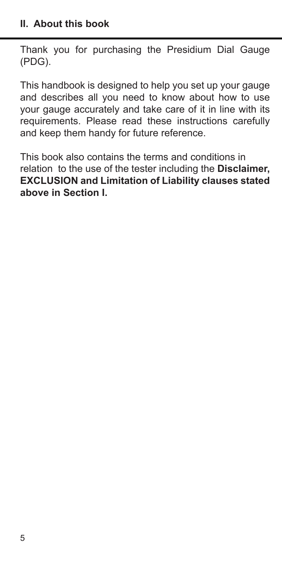Thank you for purchasing the Presidium Dial Gauge (PDG).

This handbook is designed to help you set up your gauge and describes all you need to know about how to use your gauge accurately and take care of it in line with its requirements. Please read these instructions carefully and keep them handy for future reference.

This book also contains the terms and conditions in relation to the use of the tester including the **Disclaimer, EXCLUSION and Limitation of Liability clauses stated above in Section I.**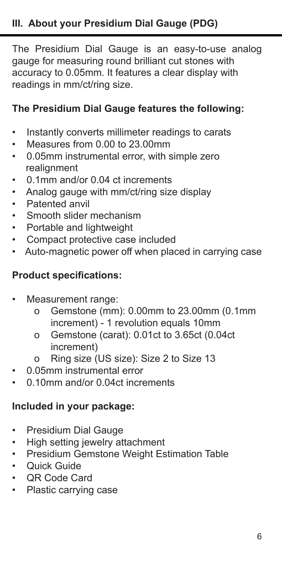The Presidium Dial Gauge is an easy-to-use analog gauge for measuring round brilliant cut stones with accuracy to 0.05mm. It features a clear display with readings in mm/ct/ring size.

# **The Presidium Dial Gauge features the following:**

- Instantly converts millimeter readings to carats
- Measures from 0.00 to 23.00mm
- 0.05mm instrumental error, with simple zero realignment
- 0.1mm and/or 0.04 ct increments
- Analog gauge with mm/ct/ring size display
- Patented anvil
- Smooth slider mechanism
- Portable and lightweight
- Compact protective case included
- Auto-magnetic power off when placed in carrying case

#### **Product specifications:**

- Measurement range:
	- o Gemstone (mm): 0.00mm to 23.00mm (0.1mm increment) - 1 revolution equals 10mm
	- o Gemstone (carat): 0.01ct to 3.65ct (0.04ct increment)
	- o Ring size (US size): Size 2 to Size 13
- 0.05mm instrumental error
- 0.10mm and/or 0.04ct increments

#### **Included in your package:**

- Presidium Dial Gauge
- High setting jewelry attachment
- Presidium Gemstone Weight Estimation Table
- Quick Guide
- QR Code Card
- Plastic carrying case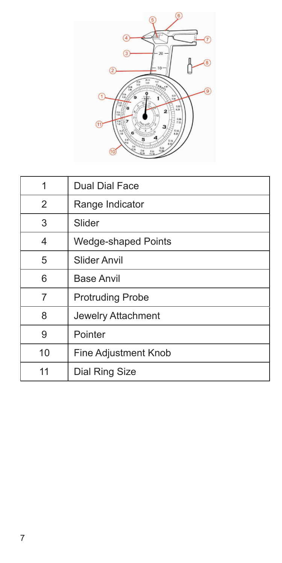

| 1              | Dual Dial Face          |
|----------------|-------------------------|
| $\overline{2}$ | Range Indicator         |
| 3              | Slider                  |
| 4              | Wedge-shaped Points     |
| 5              | Slider Anvil            |
| 6              | <b>Base Anvil</b>       |
| 7              | <b>Protruding Probe</b> |
| 8              | Jewelry Attachment      |
| 9              | Pointer                 |
| 10             | Fine Adjustment Knob    |
| 11             | Dial Ring Size          |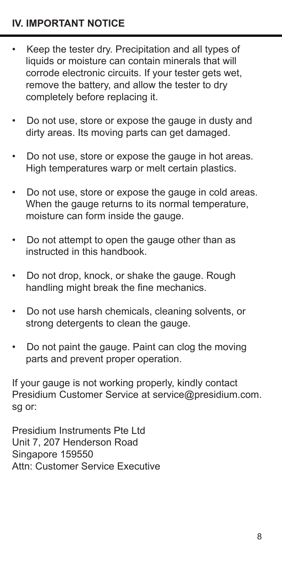# **IV. IMPORTANT NOTICE**

- Keep the tester dry. Precipitation and all types of liquids or moisture can contain minerals that will corrode electronic circuits. If your tester gets wet, remove the battery, and allow the tester to dry completely before replacing it.
- Do not use, store or expose the gauge in dusty and dirty areas. Its moving parts can get damaged.
- Do not use, store or expose the gauge in hot areas. High temperatures warp or melt certain plastics.
- Do not use, store or expose the gauge in cold areas. When the gauge returns to its normal temperature. moisture can form inside the gauge.
- Do not attempt to open the gauge other than as instructed in this handbook.
- Do not drop, knock, or shake the gauge. Rough handling might break the fine mechanics.
- Do not use harsh chemicals, cleaning solvents, or strong detergents to clean the gauge.
- Do not paint the gauge. Paint can clog the moving parts and prevent proper operation.

If your gauge is not working properly, kindly contact Presidium Customer Service at service@presidium.com. sg or:

Presidium Instruments Pte Ltd Unit 7, 207 Henderson Road Singapore 159550 Attn: Customer Service Executive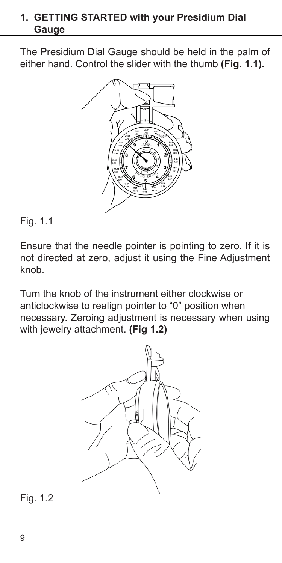#### **1. GETTING STARTED with your Presidium Dial Gauge**

The Presidium Dial Gauge should be held in the palm of either hand. Control the slider with the thumb **(Fig. 1.1).**



#### Fig. 1.1

Ensure that the needle pointer is pointing to zero. If it is not directed at zero, adjust it using the Fine Adjustment knob

Turn the knob of the instrument either clockwise or anticlockwise to realign pointer to "0" position when necessary. Zeroing adjustment is necessary when using with jewelry attachment. **(Fig 1.2)**



Fig. 1.2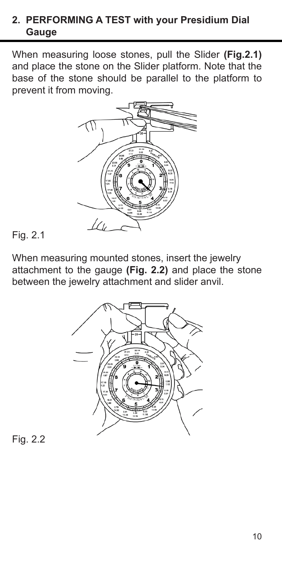# **2. PERFORMING A TEST with your Presidium Dial Gauge**

When measuring loose stones, pull the Slider **(Fig.2.1)** and place the stone on the Slider platform. Note that the base of the stone should be parallel to the platform to prevent it from moving.



# Fig. 2.1

When measuring mounted stones, insert the jewelry attachment to the gauge **(Fig. 2.2)** and place the stone between the jewelry attachment and slider anvil.



Fig. 2.2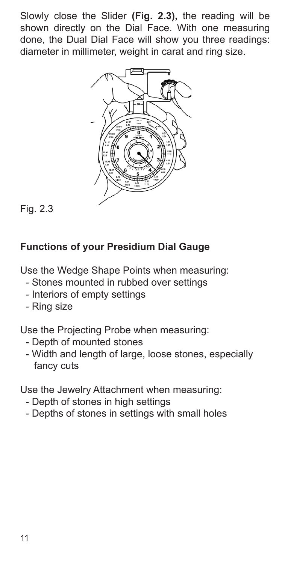Slowly close the Slider **(Fig. 2.3),** the reading will be shown directly on the Dial Face. With one measuring done, the Dual Dial Face will show you three readings: diameter in millimeter, weight in carat and ring size.



Fig. 2.3

# **Functions of your Presidium Dial Gauge**

Use the Wedge Shape Points when measuring:

- Stones mounted in rubbed over settings
- Interiors of empty settings
- Ring size

Use the Projecting Probe when measuring:

- Depth of mounted stones
- Width and length of large, loose stones, especially fancy cuts

Use the Jewelry Attachment when measuring:

- Depth of stones in high settings
- Depths of stones in settings with small holes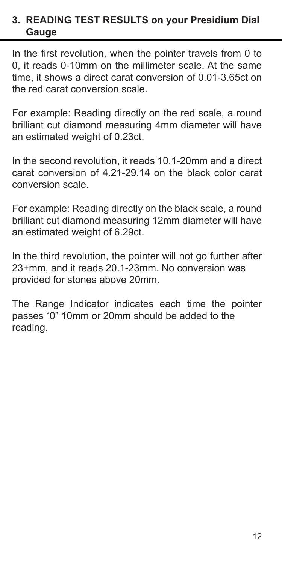## **3. READING TEST RESULTS on your Presidium Dial Gauge**

In the first revolution, when the pointer travels from 0 to 0, it reads 0-10mm on the millimeter scale. At the same time, it shows a direct carat conversion of 0.01-3.65ct on the red carat conversion scale.

For example: Reading directly on the red scale, a round brilliant cut diamond measuring 4mm diameter will have an estimated weight of 0.23ct.

In the second revolution, it reads 10.1-20mm and a direct carat conversion of 4.21-29.14 on the black color carat conversion scale.

For example: Reading directly on the black scale, a round brilliant cut diamond measuring 12mm diameter will have an estimated weight of 6.29ct.

In the third revolution, the pointer will not go further after 23+mm, and it reads 20.1-23mm. No conversion was provided for stones above 20mm.

The Range Indicator indicates each time the pointer passes "0" 10mm or 20mm should be added to the reading.